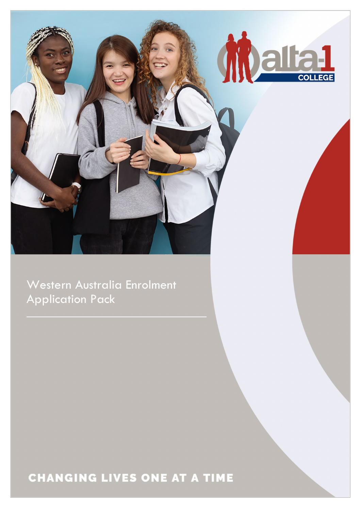

Western Australia Enrolment Application Pack

# **CHANGING LIVES ONE AT A TIME**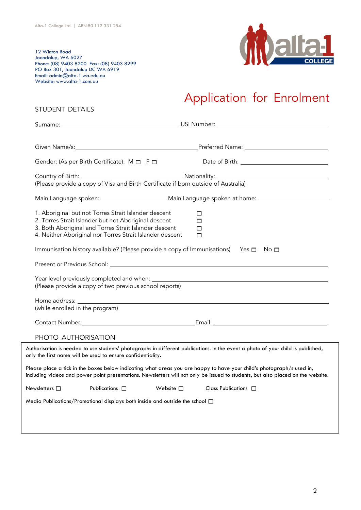STUDENT DETAILS

12 Winton Road Joondalup, WA 6027 Phone: (08) 9403 8200 Fax: (08) 9403 8299 PO Box 301, Joondalup DC WA 6919 Email: [admin@alta-1.wa.edu.au](mailto:admin@alta-1.wa.edu.au) Website: [www.alta-1.com.au](http://www.alta-1.com.au/)



# Application for Enrolment

|                                                                                                                                                                                                                                   | Given Name/s: <u>Name/s: Name and Southern American Preferred Name:</u> Name: Name and Name and Name and Name and Name and Name and Name and Name and Name and Name and Name and Name and Name and Name and Name and Name and Name                        |
|-----------------------------------------------------------------------------------------------------------------------------------------------------------------------------------------------------------------------------------|-----------------------------------------------------------------------------------------------------------------------------------------------------------------------------------------------------------------------------------------------------------|
| Gender: (As per Birth Certificate): M $\Box$ F $\Box$                                                                                                                                                                             |                                                                                                                                                                                                                                                           |
| (Please provide a copy of Visa and Birth Certificate if born outside of Australia)                                                                                                                                                | Country of Birth: <u>Country of Birth: Country of Birth: Country of Birth:</u>                                                                                                                                                                            |
|                                                                                                                                                                                                                                   |                                                                                                                                                                                                                                                           |
| 1. Aboriginal but not Torres Strait Islander descent<br>2. Torres Strait Islander but not Aboriginal descent<br>3. Both Aboriginal and Torres Strait Islander descent<br>4. Neither Aboriginal nor Torres Strait Islander descent | □<br>□<br>□<br>$\Box$                                                                                                                                                                                                                                     |
| Immunisation history available? (Please provide a copy of Immunisations) Yes $\square$ No $\square$                                                                                                                               |                                                                                                                                                                                                                                                           |
| Present or Previous School: University of the Contract of Present or Previous School:                                                                                                                                             |                                                                                                                                                                                                                                                           |
| (Please provide a copy of two previous school reports)                                                                                                                                                                            |                                                                                                                                                                                                                                                           |
| (while enrolled in the program)                                                                                                                                                                                                   |                                                                                                                                                                                                                                                           |
|                                                                                                                                                                                                                                   |                                                                                                                                                                                                                                                           |
| PHOTO AUTHORISATION                                                                                                                                                                                                               |                                                                                                                                                                                                                                                           |
| only the first name will be used to ensure confidentiality.                                                                                                                                                                       | Authorisation is needed to use students' photographs in different publications. In the event a photo of your child is published,                                                                                                                          |
|                                                                                                                                                                                                                                   | Please place a tick in the boxes below indicating what areas you are happy to have your child's photograph/s used in,<br>including videos and power point presentations. Newsletters will not only be issued to students, but also placed on the website. |
| Newsletters $\Box$<br>Publications $\square$                                                                                                                                                                                      | Website $\square$<br>Class Publications $\Box$                                                                                                                                                                                                            |
| Media Publications/Promotional displays both inside and outside the school $\Box$                                                                                                                                                 |                                                                                                                                                                                                                                                           |
|                                                                                                                                                                                                                                   |                                                                                                                                                                                                                                                           |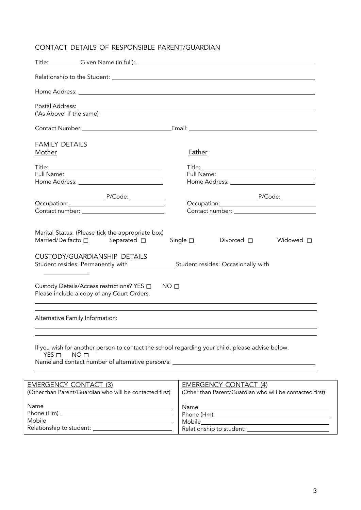# CONTACT DETAILS OF RESPONSIBLE PARENT/GUARDIAN

Relationship to student:

| ('As Above' if the same)                                                                                                           |                                                                                          |
|------------------------------------------------------------------------------------------------------------------------------------|------------------------------------------------------------------------------------------|
|                                                                                                                                    |                                                                                          |
| <b>FAMILY DETAILS</b><br>Mother                                                                                                    | Father                                                                                   |
|                                                                                                                                    |                                                                                          |
| Contact number: The contact of the contact number:                                                                                 |                                                                                          |
| Marital Status: (Please tick the appropriate box)<br>Married/De facto $\square$ Separated $\square$                                | Single $\square$<br>Widowed $\Box$<br>Divorced $\square$                                 |
| <b>CUSTODY/GUARDIANSHIP DETAILS</b><br>Student resides: Permanently with____________________Student resides: Occasionally with     |                                                                                          |
| Custody Details/Access restrictions? YES $\Box$<br>NO <sub>□</sub><br>Please include a copy of any Court Orders.                   |                                                                                          |
| Alternative Family Information:                                                                                                    |                                                                                          |
| If you wish for another person to contact the school regarding your child, please advise below.<br>$YES$ $\Box$<br>NO <sub>□</sub> |                                                                                          |
| <b>EMERGENCY CONTACT (3)</b><br>(Other than Parent/Guardian who will be contacted first)                                           | <b>EMERGENCY CONTACT (4)</b><br>(Other than Parent/Guardian who will be contacted first) |
| Name__<br><u> 1980 - Johann Barn, fransk politik (d. 1980)</u>                                                                     |                                                                                          |
|                                                                                                                                    |                                                                                          |
| Mobile                                                                                                                             | Mobile                                                                                   |

Mobile

Relationship to student:

3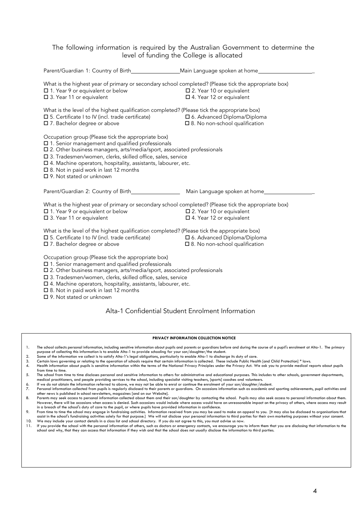#### The following information is required by the Australian Government to determine the level of funding the College is allocated

| Parent/Guardian 1: Country of Birth______________________Main Language spoken at home______________                                                                                                                                                                                                                                                                                                      |                                                                           |
|----------------------------------------------------------------------------------------------------------------------------------------------------------------------------------------------------------------------------------------------------------------------------------------------------------------------------------------------------------------------------------------------------------|---------------------------------------------------------------------------|
| What is the highest year of primary or secondary school completed? (Please tick the appropriate box)<br>□ 1. Year 9 or equivalent or below<br>□ 3. Year 11 or equivalent                                                                                                                                                                                                                                 | □ 2. Year 10 or equivalent<br>$\Box$ 4. Year 12 or equivalent             |
| What is the level of the highest qualification completed? (Please tick the appropriate box)<br>$\square$ 5. Certificate I to IV (incl. trade certificate)<br>□ 7. Bachelor degree or above                                                                                                                                                                                                               | □ 6. Advanced Diploma/Diploma<br>$\square$ 8. No non-school qualification |
| Occupation group (Please tick the appropriate box)<br>□ 1. Senior management and qualified professionals<br>□ 2. Other business managers, arts/media/sport, associated professionals<br>□ 3. Tradesmen/women, clerks, skilled office, sales, service<br>$\square$ 4. Machine operators, hospitality, assistants, labourer, etc.<br>□ 8. Not in paid work in last 12 months<br>□ 9. Not stated or unknown |                                                                           |
| Parent/Guardian 2: Country of Birth__________________                                                                                                                                                                                                                                                                                                                                                    | Main Language spoken at home_____                                         |
| What is the highest year of primary or secondary school completed? (Please tick the appropriate box)<br>□ 1. Year 9 or equivalent or below<br>□ 3. Year 11 or equivalent                                                                                                                                                                                                                                 | □ 2. Year 10 or equivalent<br>□ 4. Year 12 or equivalent                  |
| What is the level of the highest qualification completed? (Please tick the appropriate box)<br>$\square$ 5. Certificate I to IV (incl. trade certificate)<br>□ 7. Bachelor degree or above                                                                                                                                                                                                               | □ 6. Advanced Diploma/Diploma<br>$\square$ 8. No non-school qualification |
| Occupation group (Please tick the appropriate box)<br>□ 1. Senior management and qualified professionals<br>□ 2. Other business managers, arts/media/sport, associated professionals<br>□ 3. Tradesmen/women, clerks, skilled office, sales, service                                                                                                                                                     |                                                                           |

- 4. Machine operators, hospitality, assistants, labourer, etc.
- $\square$  8. Not in paid work in last 12 months

9. Not stated or unknown

#### Alta-1 Confidential Student Enrolment Information

#### **PRIVACY INFORMATION COLLECTION NOTICE**

- 1. The school collects personal information, including sensitive information about pupils and parents or quardians before and during the course of a pupil's enrolment at Alta-1. The primary purpose of collecting this information is to enable Alta-1 to provide schooling for your son/daughter/the student.
- 2. Some of the information we collect is to satisfy Alta-1's legal obligations, particularly to enable Alta-1 to discharge its duty of care.<br>3. Certain laws governing or relating to the operation of schools require that ce
- 
- 3. Certain laws governing or relating to the operation of schools require that certain information is collected. These include Public Health [and Child Protection] \* laws.<br>4. Health information about pupils is sensitive in from time to time.
- 5. The school from time to time discloses personal and sensitive information to others for administrative and educational purposes. This includes to other schools, government departments, medical practitioners, and people providing services to the school, including specialist visiting teachers, [sports] coaches and volunteers.<br>6. If we do not obtain the information referred to above, we may not be able to e
- 
- 7. Personal information collected from pupils is regularly disclosed to their parents or guardians. On occasions information such as academic and sporting achievements, pupil activities and other news is published in school newsletters, magazines [and on our Website].
- 8. Parents may seek access to personal information collected about them and their son/daughter by contacting the school. Pupils may also seek access to personal information about them. However, there will be occasions when access is denied. Such occasions would include where access would have an unreasonable impact on the privacy of others, where access may result in a breach of the school's duty of care to the pupil, or where pupils have provided information in confidence.
- 9. From time to time the school may engage in fundraising activities. Information received from you may be used to make an appeal to you. [It may also be disclosed to organisations that<br>Answare in the school's fundraising 10. We may include your contact details in a class list and school directory. If you do not agree to this, you must advise us now.<br>11. If you provide the school with the personal information of others, such as doctors or e
- 11. If you provide the school with the personal information of others, such as doctors or emergency contacts, we encourage you to inform them that you are disclosing that information to the<br>school and why, that they can ac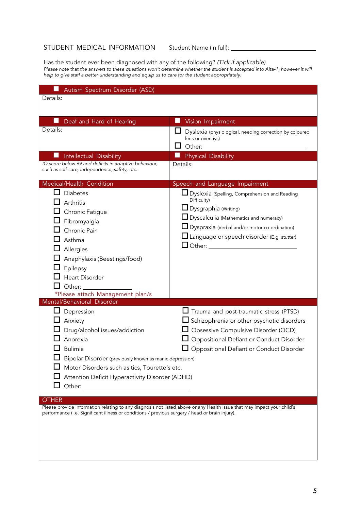# STUDENT MEDICAL INFORMATION Student Name (in full): \_\_\_\_\_\_\_\_\_\_\_\_\_

Has the student ever been diagnosed with any of the following? *(Tick if applicable) Please note that the answers to these questions won't determine whether the student is accepted into Alta-1, however it will help to give staff a better understanding and equip us to care for the student appropriately.*

| Autism Spectrum Disorder (ASD)                                                                                                                                                                                                               |                                                                                                                                                                                                                                                                                   |
|----------------------------------------------------------------------------------------------------------------------------------------------------------------------------------------------------------------------------------------------|-----------------------------------------------------------------------------------------------------------------------------------------------------------------------------------------------------------------------------------------------------------------------------------|
| Details:                                                                                                                                                                                                                                     |                                                                                                                                                                                                                                                                                   |
|                                                                                                                                                                                                                                              |                                                                                                                                                                                                                                                                                   |
| Deaf and Hard of Hearing                                                                                                                                                                                                                     | Vision Impairment<br>m.                                                                                                                                                                                                                                                           |
| Details:                                                                                                                                                                                                                                     | Dyslexia (physiological, needing correction by coloured<br>lens or overlays)<br>Other:                                                                                                                                                                                            |
| Intellectual Disability                                                                                                                                                                                                                      | <b>Physical Disability</b>                                                                                                                                                                                                                                                        |
| IQ score below 69 and deficits in adaptive behaviour,<br>such as self-care, independence, safety, etc.                                                                                                                                       | Details:                                                                                                                                                                                                                                                                          |
| Medical/Health Condition                                                                                                                                                                                                                     | Speech and Language Impairment                                                                                                                                                                                                                                                    |
| <b>Diabetes</b><br>Arthritis<br>Chronic Fatigue<br>Fibromyalgia<br>Chronic Pain<br>Asthma<br>Allergies<br>Anaphylaxis (Beestings/food)<br>Epilepsy<br><b>Heart Disorder</b><br>Other:<br>*Please attach Management plan/s                    | <b>LI</b> Dyslexia (Spelling, Comprehension and Reading<br>Difficulty)<br><b>□</b> Dysgraphia (Writing)<br><b>L</b> Dyscalculia (Mathematics and numeracy)<br>Dyspraxia (Verbal and/or motor co-ordination)<br>Language or speech disorder (E.g. stutter)<br>$\Box$ Other: $\Box$ |
| Mental/Behavioral Disorder                                                                                                                                                                                                                   |                                                                                                                                                                                                                                                                                   |
| Depression<br>Anxiety<br>Drug/alcohol issues/addiction<br>Anorexia<br>Bulimia<br>Bipolar Disorder (previously known as manic depression)<br>Motor Disorders such as tics, Tourette's etc.<br>Attention Deficit Hyperactivity Disorder (ADHD) | Trauma and post-traumatic stress (PTSD)<br>$\Box$ Schizophrenia or other psychotic disorders<br>Obsessive Compulsive Disorder (OCD)<br>Oppositional Defiant or Conduct Disorder<br>Oppositional Defiant or Conduct Disorder                                                       |
| <b>OTHER</b>                                                                                                                                                                                                                                 |                                                                                                                                                                                                                                                                                   |
| performance (i.e. Significant illness or conditions / previous surgery / head or brain injury).                                                                                                                                              | Please provide information relating to any diagnosis not listed above or any Health Issue that may impact your child's                                                                                                                                                            |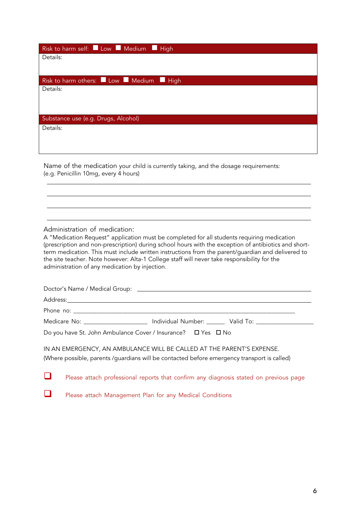| Risk to harm self: Low Medium High   |
|--------------------------------------|
| Details:                             |
|                                      |
| Risk to harm others: Low Medium High |
| Details:                             |
|                                      |
|                                      |
| Substance use (e.g. Drugs, Alcohol)  |
| Details:                             |
|                                      |
|                                      |

Name of the medication your child is currently taking, and the dosage requirements: (e.g. Penicillin 10mg, every 4 hours)

Administration of medication:

A "Medication Request" application must be completed for all students requiring medication (prescription and non-prescription) during school hours with the exception of antibiotics and shortterm medication. This must include written instructions from the parent/guardian and delivered to the site teacher. Note however: Alta-1 College staff will never take responsibility for the administration of any medication by injection.

|                                                              | Medicare No: _____________________ Individual Number: _______ Valid To: _______________ |
|--------------------------------------------------------------|-----------------------------------------------------------------------------------------|
| Do you have St. John Ambulance Cover / Insurance? □ Yes □ No |                                                                                         |
|                                                              | IN AN EMERCENCY AN AMBULANCE WILL BE CALLED AT THE BARENTIC EVRENCE.                    |

IN AN EMERGENCY, AN AMBULANCE WILL BE CALLED AT THE PARENT'S EXPENSE. (Where possible, parents /guardians will be contacted before emergency transport is called)

Please attach professional reports that confirm any diagnosis stated on previous page

**Please attach Management Plan for any Medical Conditions**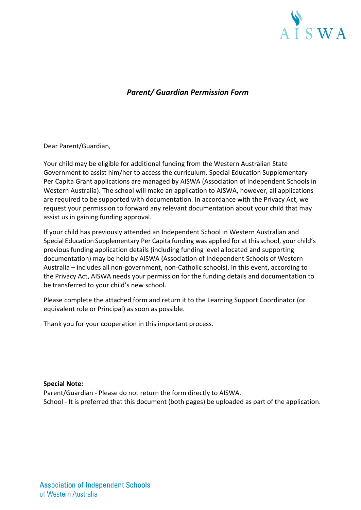

# *Parent/ Guardian Permission Form*

Dear Parent/Guardian,

Your child may be eligible for additional funding from the Western Australian State Government to assist him/her to access the curriculum. Special Education Supplementary Per Capita Grant applications are managed by AISWA (Association of Independent Schools in Western Australia). The school will make an application to AISWA, however, all applications are required to be supported with documentation. In accordance with the Privacy Act, we request your permission to forward any relevant documentation about your child that may assist us in gaining funding approval.

If your child has previously attended an Independent School in Western Australian and Special Education Supplementary Per Capita funding was applied for at this school, your child's previous funding application details (including funding level allocated and supporting documentation) may be held by AISWA (Association of Independent Schools of Western Australia – includes all non-government, non-Catholic schools). In this event, according to the Privacy Act, AISWA needs your permission for the funding details and documentation to be transferred to your child's new school.

Please complete the attached form and return it to the Learning Support Coordinator (or equivalent role or Principal) as soon as possible.

Thank you for your cooperation in this important process.

**Special Note:**

Parent/Guardian - Please do not return the form directly to AISWA. School - It is preferred that this document (both pages) be uploaded as part of the application.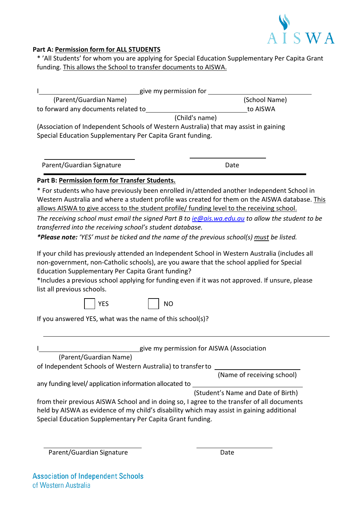

# **Part A: Permission form for ALL STUDENTS**

\* 'All Students' for whom you are applying for Special Education Supplementary Per Capita Grant funding. This allows the School to transfer documents to AISWA.

| give my permission for                                                               |                |
|--------------------------------------------------------------------------------------|----------------|
| (Parent/Guardian Name)                                                               | (School Name)  |
| to forward any documents related to                                                  | to AISWA       |
|                                                                                      | (Child's name) |
| (Association of Independent Schools of Western Australia) that may assist in gaining |                |
| Special Education Supplementary Per Capita Grant funding.                            |                |
|                                                                                      |                |
|                                                                                      |                |
| Parent/Guardian Signature                                                            | Date           |

### **Part B: Permission form for Transfer Students.**

\* For students who have previously been enrolled in/attended another Independent School in Western Australia and where a student profile was created for them on the AISWA database. This allows AISWA to give access to the student profile/ funding level to the receiving school.

*The receiving school must email the signed Part B to [ie@ais.wa.edu.au](mailto:ie@ais.wa.edu.au) to allow the student to be transferred into the receiving school's student database.*

*\*Please note: 'YES' must be ticked and the name of the previous school(s) must be listed.*

If your child has previously attended an Independent School in Western Australia (includes all non-government, non-Catholic schools), are you aware that the school applied for Special Education Supplementary Per Capita Grant funding?

\*Includes a previous school applying for funding even if it was not approved. If unsure, please list all previous schools.

| v.<br>۰, |
|----------|
|----------|

NO

If you answered YES, what was the name of this school(s)?

| give my permission for AISWA (Association                                                                                                                                                                                                            |                                    |
|------------------------------------------------------------------------------------------------------------------------------------------------------------------------------------------------------------------------------------------------------|------------------------------------|
| (Parent/Guardian Name)                                                                                                                                                                                                                               |                                    |
| of Independent Schools of Western Australia) to transfer to                                                                                                                                                                                          |                                    |
|                                                                                                                                                                                                                                                      | (Name of receiving school)         |
| any funding level/ application information allocated to                                                                                                                                                                                              |                                    |
|                                                                                                                                                                                                                                                      | (Student's Name and Date of Birth) |
| from their previous AISWA School and in doing so, I agree to the transfer of all documents<br>held by AISWA as evidence of my child's disability which may assist in gaining additional<br>Special Education Supplementary Per Capita Grant funding. |                                    |
|                                                                                                                                                                                                                                                      |                                    |

Parent/Guardian Signature Date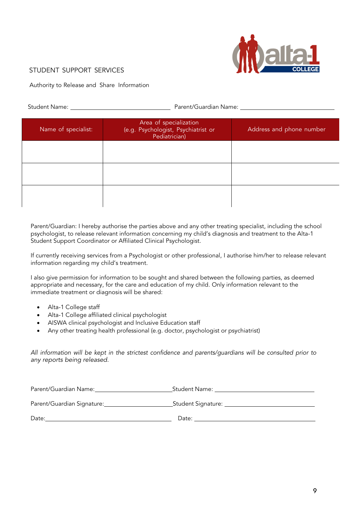

# STUDENT SUPPORT SERVICES

Authority to Release and Share Information

Student Name: Parent/Guardian Name:

| Name of specialist: | Area of specialization<br>(e.g. Psychologist, Psychiatrist or<br>Pediatrician) | Address and phone number |
|---------------------|--------------------------------------------------------------------------------|--------------------------|
|                     |                                                                                |                          |
|                     |                                                                                |                          |
|                     |                                                                                |                          |

Parent/Guardian: I hereby authorise the parties above and any other treating specialist, including the school psychologist, to release relevant information concerning my child's diagnosis and treatment to the Alta-1 Student Support Coordinator or Affiliated Clinical Psychologist.

If currently receiving services from a Psychologist or other professional, I authorise him/her to release relevant information regarding my child's treatment.

I also give permission for information to be sought and shared between the following parties, as deemed appropriate and necessary, for the care and education of my child. Only information relevant to the immediate treatment or diagnosis will be shared:

- Alta-1 College staff
- Alta-1 College affiliated clinical psychologist
- AISWA clinical psychologist and Inclusive Education staff
- Any other treating health professional (e.g. doctor, psychologist or psychiatrist)

*All information will be kept in the strictest confidence and parents/guardians will be consulted prior to any reports being released.*

| Parent/Guardian Name:      | _Student Name: ________________________ |
|----------------------------|-----------------------------------------|
| Parent/Guardian Signature: | _Student Signature: ___________         |
| Date:                      | Date:                                   |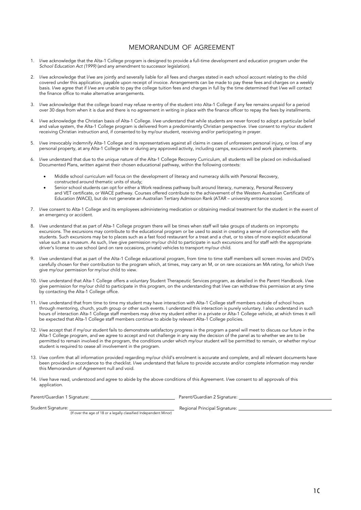#### MEMORANDUM OF AGREEMENT

- I/we acknowledge that the Alta-1 College program is designed to provide a full-time development and education program under the *School Education Act (1999)* (and any amendment to successor legislation).
- 2. I/we acknowledge that l/we are jointly and severally liable for all fees and charges stated in each school account relating to the child covered under this application, payable upon receipt of invoice. Arrangements can be made to pay these fees and charges on a weekly basis. I/we agree that if I/we are unable to pay the college tuition fees and charges in full by the time determined that I/we will contact the finance office to make alternative arrangements.
- 3. I/we acknowledge that the college board may refuse re-entry of the student into Alta-1 College if any fee remains unpaid for a period over 30 days from when it is due and there is no agreement in writing in place with the finance officer to repay the fees by installments.
- 4. I/we acknowledge the Christian basis of Alta-1 College. I/we understand that while students are never forced to adopt a particular belief and value system, the Alta-1 College program is delivered from a predominantly Christian perspective. I/we consent to my/our student receiving Christian instruction and, if consented to by my/our student, receiving and/or participating in prayer.
- 5. I/we irrevocably indemnify Alta-1 College and its representatives against all claims in cases of unforeseen personal injury, or loss of any personal property, at any Alta-1 College site or during any approved activity, including camps, excursions and work placements.
- 6. I/we understand that due to the unique nature of the Alta-1 College Recovery Curriculum, all students will be placed on individualised Documented Plans, written against their chosen educational pathway, within the following contexts:
	- Middle school curriculum will focus on the development of literacy and numeracy skills with Personal Recovery, constructed around thematic units of study;
	- Senior school students can opt for either a Work readiness pathway built around literacy, numeracy, Personal Recovery and VET certificate, or WACE pathway. Courses offered contribute to the achievement of the Western Australian Certificate of Education (WACE), but do not generate an Australian Tertiary Admission Rank (ATAR – university entrance score).
- 7. I/we consent to Alta-1 College and its employees administering medication or obtaining medical treatment for the student in the event of an emergency or accident.
- 8. I/we understand that as part of Alta-1 College program there will be times when staff will take groups of students on impromptu excursions. The excursions may contribute to the educational program or be used to assist in creating a sense of connection with the students. Such excursions may be to places such as a fast food restaurant for a treat and a chat, or to sites of more explicit educational value such as a museum. As such, I/we give permission my/our child to participate in such excursions and for staff with the appropriate driver's license to use school (and on rare occasions, private) vehicles to transport my/our child.
- 9. I/we understand that as part of the Alta-1 College educational program, from time to time staff members will screen movies and DVD's carefully chosen for their contribution to the program which, at times, may carry an M, or on rare occasions an MA rating, for which I/we give my/our permission for my/our child to view.
- 10. I/we understand that Alta-1 College offers a voluntary Student Therapeutic Services program, as detailed in the Parent Handbook. I/we give permission for my/our child to participate in this program, on the understanding that I/we can withdraw this permission at any time by contacting the Alta-1 College office.
- 11. I/we understand that from time to time my student may have interaction with Alta-1 College staff members outside of school hours through mentoring, church, youth group or other such events. I understand this interaction is purely voluntary. I also understand in such hours of interaction Alta-1 College staff members may drive my student either in a private or Alta-1 College vehicle, at which times it will be expected that Alta-1 College staff members continue to abide by relevant Alta-1 College policies.
- 12. I/we accept that if my/our student fails to demonstrate satisfactory progress in the program a panel will meet to discuss our future in the Alta-1 College program, and we agree to accept and not challenge in any way the decision of the panel as to whether we are to be permitted to remain involved in the program, the conditions under which my/our student will be permitted to remain, or whether my/our student is required to cease all involvement in the program.
- 13. I/we confirm that all information provided regarding my/our child's enrolment is accurate and complete, and all relevant documents have been provided in accordance to the checklist. I/we understand that failure to provide accurate and/or complete information may render this Memorandum of Agreement null and void.
- 14. I/we have read, understood and agree to abide by the above conditions of this Agreement. I/we consent to all approvals of this application.

Parent/Guardian 1 Signature: \_\_

\_ Parent/Guardian 2 Signature: \_

Student Signature:

Regional Principal Signature:

(If over the age of 18 or a legally classified Independent Minor)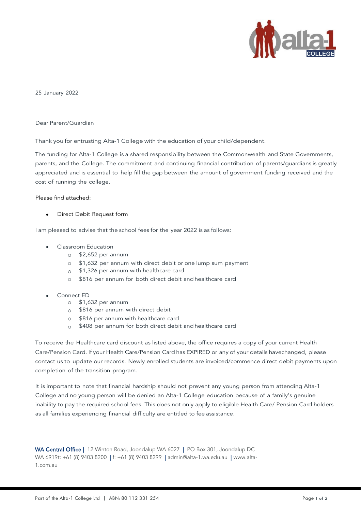

25 January 2022

Dear Parent/Guardian

Thank you for entrusting Alta-1 College with the education of your child/dependent.

The funding for Alta-1 College is a shared responsibility between the Commonwealth and State Governments, parents, and the College. The commitment and continuing financial contribution of parents/guardians is greatly appreciated and is essential to help fill the gap between the amount of government funding received and the cost of running the college.

#### Please find attached:

• Direct Debit Request form

I am pleased to advise that the school fees for the year 2022 is as follows:

- Classroom Education
	- $\circ$  \$2,652 per annum
	- o \$1,632 per annum with direct debit or one lump sum payment
	- o \$1,326 per annum with healthcare card
	- o \$816 per annum for both direct debit and healthcare card
- Connect ED
	- o \$1,632 per annum
	- o \$816 per annum with direct debit
	- o \$816 per annum with healthcare card
	- o \$408 per annum for both direct debit and healthcare card

To receive the Healthcare card discount as listed above, the office requires a copy of your current Health Care/Pension Card. If your Health Care/Pension Card has EXPIRED or any of your details havechanged, please contact us to update our records. Newly enrolled students are invoiced/commence direct debit payments upon completion of the transition program.

It is important to note that financial hardship should not prevent any young person from attending Alta-1 College and no young person will be denied an Alta-1 College education because of a family's genuine inability to pay the required school fees. This does not only apply to eligible Health Care/ Pension Card holders as all families experiencing financial difficulty are entitled to fee assistance.

WA Central Office | 12 Winton Road, Joondalup WA 6027 | PO Box 301, Joondalup DC WA 6919t: +61 (8) 9403 8200 | f: +61 (8) 9403 8299 | [admin@alta-1.wa.edu.au](mailto:admin@alta-1.wa.edu.au) | [www.alta-](http://www.alta-1.com.au/)[1.com.au](http://www.alta-1.com.au/)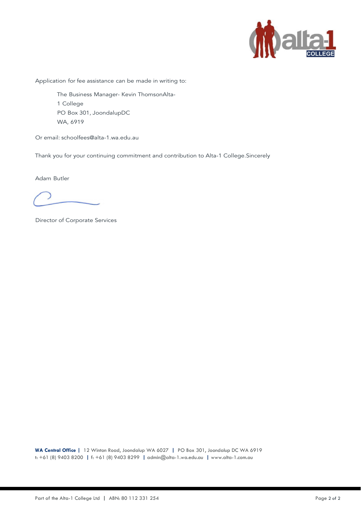

Application for fee assistance can be made in writing to:

The Business Manager- Kevin ThomsonAlta-1 College PO Box 301, JoondalupDC WA, 6919

Or email: [schoolfees@alta-1.wa.edu.au](mailto:schoolfees@alta-1.wa.edu.au)

Thank you for your continuing commitment and contribution to Alta-1 College.Sincerely

Adam Butler

Director of Corporate Services

**WA Central Office |** 12 Winton Road, Joondalup WA 6027 **|** PO Box 301, Joondalup DC WA 6919 t: +61 (8) 9403 8200 **|** f: +61 (8) 9403 8299 **|** [admin@alta-1.wa.edu.au](mailto:admin@alta-1.wa.edu.au) **|** [www.alta-1.com.au](http://www.alta-1.com.au/)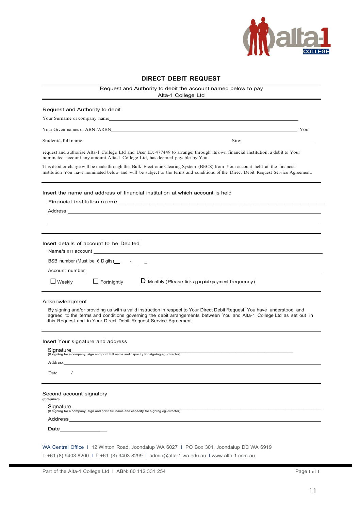

| <b>DIRECT DEBIT REQUEST</b><br>Request and Authority to debit the account named below to pay                                                                                                                                                                                                                        |                                                                 |
|---------------------------------------------------------------------------------------------------------------------------------------------------------------------------------------------------------------------------------------------------------------------------------------------------------------------|-----------------------------------------------------------------|
|                                                                                                                                                                                                                                                                                                                     |                                                                 |
| Request and Authority to debit                                                                                                                                                                                                                                                                                      |                                                                 |
| Your Surname or company name example and the set of the set of the set of the set of the set of the set of the set of the set of the set of the set of the set of the set of the set of the set of the set of the set of the s                                                                                      |                                                                 |
|                                                                                                                                                                                                                                                                                                                     |                                                                 |
| Student/s full name Student Section 2020 and 2020 and 2020 and 2020 and 2020 and 2020 and 2020 and 2020 and 2020 and 2020 and 2020 and 2020 and 2020 and 2020 and 2020 and 2020 and 2020 and 2020 and 2020 and 2020 and 2020 a                                                                                      |                                                                 |
| request and authorise Alta-1 College Ltd and User ID: 477449 to arrange, through its own financial institution, a debit to Your<br>nominated account any amount Alta-1 College Ltd, has deemed payable by You.                                                                                                      |                                                                 |
| This debit or charge will be made through the Bulk Electronic Clearing System (BECS) from Your account held at the financial<br>institution You have nominated below and will be subject to the terms and conditions of the Direct Debit Request Service Agreement.                                                 |                                                                 |
| Insert the name and address of financial institution at which account is held                                                                                                                                                                                                                                       |                                                                 |
|                                                                                                                                                                                                                                                                                                                     |                                                                 |
| Address and the contract of the contract of the contract of the contract of the contract of the contract of the contract of the contract of the contract of the contract of the contract of the contract of the contract of th                                                                                      |                                                                 |
|                                                                                                                                                                                                                                                                                                                     |                                                                 |
|                                                                                                                                                                                                                                                                                                                     |                                                                 |
| Insert details of account to be Debited                                                                                                                                                                                                                                                                             |                                                                 |
| BSB number (Must be 6 Digits) - _ _ _                                                                                                                                                                                                                                                                               |                                                                 |
|                                                                                                                                                                                                                                                                                                                     |                                                                 |
|                                                                                                                                                                                                                                                                                                                     |                                                                 |
| $\Box$ Weekly<br>$\Box$ Fortnightly                                                                                                                                                                                                                                                                                 | $\mathsf D$ Monthly (Please tick appropriate payment frequency) |
| Acknowledgment                                                                                                                                                                                                                                                                                                      |                                                                 |
| By signing and/or providing us with a valid instruction in respect to Your Direct Debit Request, You have understood and<br>agreed to the terms and conditions governing the debit arrangements between You and Alta-1 College Ltd as set out in<br>this Request and in Your Direct Debit Request Service Agreement |                                                                 |
| Insert Your signature and address                                                                                                                                                                                                                                                                                   |                                                                 |
| Signature                                                                                                                                                                                                                                                                                                           |                                                                 |
| (If signing for a company, sign and print full name and capacity for signing eg. director)<br>Address                                                                                                                                                                                                               |                                                                 |
| I<br>Date                                                                                                                                                                                                                                                                                                           |                                                                 |
|                                                                                                                                                                                                                                                                                                                     |                                                                 |
| Second account signatory<br>{if required)                                                                                                                                                                                                                                                                           |                                                                 |
| Signature<br>(If signing for a company, sign and print full name and capacity for signing eg. director)                                                                                                                                                                                                             |                                                                 |
| Address                                                                                                                                                                                                                                                                                                             |                                                                 |
| Date                                                                                                                                                                                                                                                                                                                |                                                                 |
|                                                                                                                                                                                                                                                                                                                     |                                                                 |
| WA Central Office 1 12 Winton Road, Joondalup WA 6027 I PO Box 301, Joondalup DC WA 6919                                                                                                                                                                                                                            |                                                                 |

t: +61 (8) 9403 8200 I f: +61 (8) 9403 8299 I [admin@alta-1.wa.edu.au](mailto:admin@alta-1.wa.edu.au) I [www.alta-1.com.au](http://www.alta-1.com.au/)

 $\overline{a}$ 

 $\overline{a}$ 

 $\blacksquare$ 

 $\blacksquare$ 

 $\overline{a}$